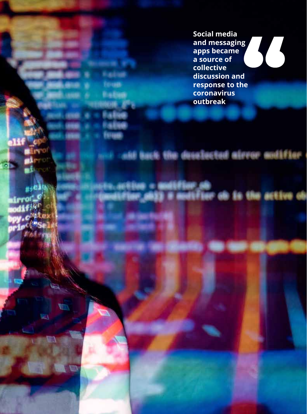**Social media and messaging apps became a source of collective discussion and response to the coronavirus outbreak**

ald hack the deestected airvor audifier : modifier on<br>Q3 # modifier on in the active on  $_{\mu}$ ,ei irror\_C

*<u><i><u>RALING***</u>**</u> **Sough Balled** 

**74**

m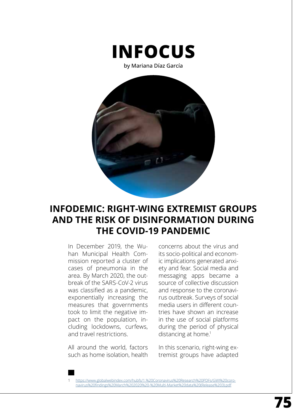

by Mariana Díaz García



## **INFODEMIC: RIGHT-WING EXTREMIST GROUPS AND THE RISK OF DISINFORMATION DURING THE COVID-19 PANDEMIC**

In December 2019, the Wuhan Municipal Health Commission reported a cluster of cases of pneumonia in the area. By March 2020, the outbreak of the SARS-CoV-2 virus was classified as a pandemic, exponentially increasing the measures that governments took to limit the negative impact on the population, including lockdowns, curfews, and travel restrictions.

All around the world, factors such as home isolation, health

concerns about the virus and its socio-political and economic implications generated anxiety and fear. Social media and messaging apps became a source of collective discussion and response to the coronavirus outbreak. Surveys of social media users in different countries have shown an increase in the use of social platforms during the period of physical distancing at home.<sup>1</sup>

In this scenario, right-wing extremist groups have adapted

https://www.globalwebindex.com/hubfs/1.%20Coronavirus%20Research%20PDFs/GWI%20coronavirus%20findings%20March%202020%20-%20Multi-Market%20data%20(Release%203).pdf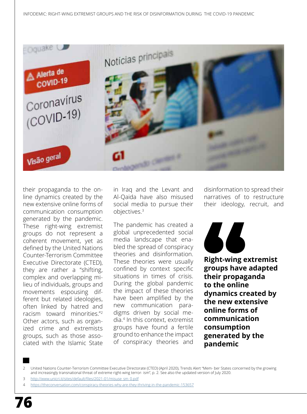

their propaganda to the online dynamics created by the new extensive online forms of communication consumption generated by the pandemic. These right-wing extremist groups do not represent a coherent movement, yet as defined by the United Nations Counter-Terrorism Committee Executive Directorate (CTED), they are rather a "shifting, complex and overlapping milieu of individuals, groups and movements espousing different but related ideologies, often linked by hatred and racism toward minorities."2 Other actors, such as organized crime and extremists groups, such as those associated with the Islamic State

in Iraq and the Levant and Al-Qaida have also misused social media to pursue their objectives.<sup>3</sup>

The pandemic has created a global unprecedented social media landscape that enabled the spread of conspiracy theories and disinformation. These theories were usually confined by context specific situations in times of crisis. During the global pandemic the impact of these theories have been amplified by the new communication paradigms driven by social media.4 In this context, extremist groups have found a fertile ground to enhance the impact of conspiracy theories and

disinformation to spread their narratives of to restructure their ideology, recruit, and



**Right-wing extremist groups have adapted their propaganda to the online dynamics created by the new extensive online forms of communication consumption generated by the pandemic**

<sup>2</sup> United Nations Counter-Terrorism Committee Executive Directorate (CTED) (April 2020), Trends Alert "Mem- ber States concerned by the growing and increasingly transnational threat of extreme right-wing terror- ism", p. 2. See also the updated version of July 2020.

<sup>3</sup> http://www.unicri.it/sites/default/files/2021-01/misuse\_sm\_0.pdf

<sup>4</sup> https://theconversation.com/conspiracy-theories-why-are-they-thriving-in-the-pandemic-153657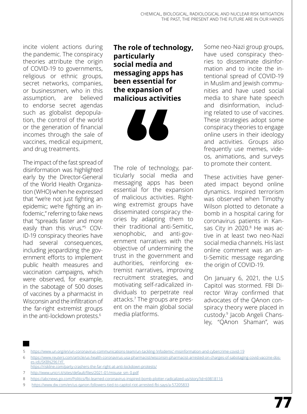incite violent actions during the pandemic. The conspiracy theories attribute the origin of COVID-19 to governments, religious or ethnic groups, secret networks, companies, or businessmen, who in this assumption, are believed to endorse secret agendas such as globalist depopulation, the control of the world or the generation of financial incomes through the sale of vaccines, medical equipment, and drug treatments.

The impact of the fast spread of disinformation was highlighted early by the Director-General of the World Health Organization (WHO) when he expressed that "we're not just fighting an epidemic; we're fighting an infodemic," referring to fake news that "spreads faster and more easily than this virus."5 COV-ID-19 conspiracy theories have had several consequences, including jeopardizing the government efforts to implement public health measures and vaccination campaigns, which were observed, for example, in the sabotage of 500 doses of vaccines by a pharmacist in Wisconsin and the infiltration of the far-right extremist groups in the anti-lockdown protests.<sup>6</sup>

## **The role of technology, particularly social media and messaging apps has been essential for the expansion of malicious activities**

66

The role of technology, particularly social media and messaging apps has been essential for the expansion of malicious activities. Rightwing extremist groups have disseminated conspiracy theories by adapting them to their traditional anti-Semitic, xenophobic, and anti-government narratives with the objective of undermining the trust in the government and authorities, reinforcing extremist narratives, improving recruitment strategies, and motivating self-radicalized individuals to perpetrate real attacks.<sup>7</sup> The groups are present on the main global social media platforms.

Some neo-Nazi group groups, have used conspiracy theories to disseminate disinformation and to incite the intentional spread of COVID-19 in Muslim and Jewish communities and have used social media to share hate speech and disinformation, including related to use of vaccines. These strategies adopt some conspiracy theories to engage online users in their ideology and activities. Groups also frequently use memes, videos, animations, and surveys to promote their content.

These activities have generated impact beyond online dynamics. Inspired terrorism was observed when Timothy Wilson plotted to detonate a bomb in a hospital caring for coronavirus patients in Kansas City in 2020.<sup>8</sup> He was active in at least two neo-Nazi social media channels. His last online comment was an anti-Semitic message regarding the origin of COVID-19.

On January 6, 2021, the U.S Capitol was stormed. FBI Director Wray confirmed that advocates of the [QAnon con](https://www.dw.com/en/why-the-qanon-conspiracy-theory-is-gaining-popularity/a-55066593)[spiracy theory](https://www.dw.com/en/why-the-qanon-conspiracy-theory-is-gaining-popularity/a-55066593) were placed in custody.9 Jacob Angeli Chansley, "QAnon Shaman", was

<sup>5</sup> https://www.un.org/en/un-coronavirus-communications-team/un-tackling-'infodemic'-misinformation-and-cybercrime-covid-19

<sup>6</sup> [https://www.reuters.com/article/us-health-coronavirus-usa-pharmacist/wisconsin-pharmacist-arrested-on-charges-of-sabotaging-covid-vaccine-dos](https://www.reuters.com/article/us-health-coronavirus-usa-pharmacist/wisconsin-pharmacist-arrested-on-charges-of-sabotaging-covid-vaccine-doses-idUSKBN2961YF)[es-idUSKBN2961YF](https://www.reuters.com/article/us-health-coronavirus-usa-pharmacist/wisconsin-pharmacist-arrested-on-charges-of-sabotaging-covid-vaccine-doses-idUSKBN2961YF)

<https://riskline.com/party-crashers-the-far-right-at-anti-lockdown-protests/>

<sup>7</sup> http://www.unicri.it/sites/default/files/2021-01/misuse\_sm\_0.pdf

<sup>8</sup> https://abcnews.go.com/Politics/fbi-learned-coronavirus-inspired-bomb-plotter-radicalized-us/story?id=69818116

<sup>9</sup> https://www.dw.com/en/us-qanon-followers-tied-to-capitol-riot-arrested-fbi-says/a-57205833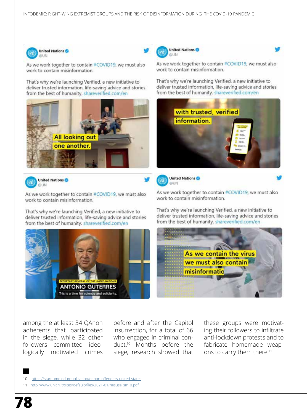United Nations

work to contain misinformation.

information.

**United Nations** 

**GYLIN** 



As we work together to contain #COVID19, we must also work to contain misinformation.

That's why we're launching Verified, a new initiative to deliver trusted information, life-saving advice and stories from the best of humanity. shareverified.com/en





As we work together to contain #COVID19, we must also work to contain misinformation.

That's why we're launching Verified, a new initiative to deliver trusted information, life-saving advice and stories from the best of humanity. shareverified.com/en



among the at least 34 QAnon adherents that participated in the siege, while 32 other followers committed ideologically motivated crimes before and after the Capitol insurrection, for a total of 66 who engaged in criminal conduct.10 Months before the siege, research showed that



As we work together to contain #COVID19, we must also work to contain misinformation.

As we work together to contain #COVID19, we must also

That's why we're launching Verified, a new initiative to

from the best of humanity. shareverified.com/en

with trusted, verified

deliver trusted information, life-saving advice and stories

That's why we're launching Verified, a new initiative to deliver trusted information, life-saving advice and stories from the best of humanity. shareverified.com/en



- 10 https://start.umd.edu/publication/qanon-offenders-united-states
- 11 http://www.unicri.it/sites/default/files/2021-01/misuse\_sm\_0.pdf